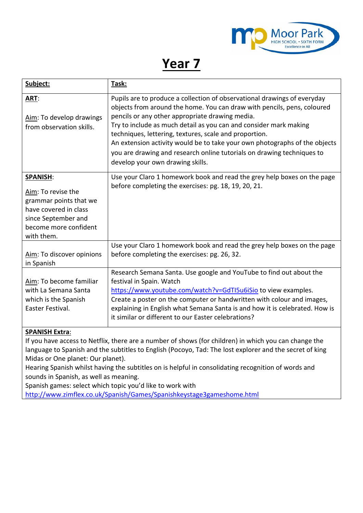

## **Year 7**

| Subject:                                                                                                                                               | Task:                                                                                                                                                                                                                                                                                                                                                                            |
|--------------------------------------------------------------------------------------------------------------------------------------------------------|----------------------------------------------------------------------------------------------------------------------------------------------------------------------------------------------------------------------------------------------------------------------------------------------------------------------------------------------------------------------------------|
| ART:                                                                                                                                                   | Pupils are to produce a collection of observational drawings of everyday<br>objects from around the home. You can draw with pencils, pens, coloured                                                                                                                                                                                                                              |
| Aim: To develop drawings<br>from observation skills.                                                                                                   | pencils or any other appropriate drawing media.<br>Try to include as much detail as you can and consider mark making<br>techniques, lettering, textures, scale and proportion.<br>An extension activity would be to take your own photographs of the objects<br>you are drawing and research online tutorials on drawing techniques to<br>develop your own drawing skills.       |
| <b>SPANISH:</b><br>Aim: To revise the<br>grammar points that we<br>have covered in class<br>since September and<br>become more confident<br>with them. | Use your Claro 1 homework book and read the grey help boxes on the page<br>before completing the exercises: pg. 18, 19, 20, 21.                                                                                                                                                                                                                                                  |
| Aim: To discover opinions<br>in Spanish                                                                                                                | Use your Claro 1 homework book and read the grey help boxes on the page<br>before completing the exercises: pg. 26, 32.                                                                                                                                                                                                                                                          |
| Aim: To become familiar<br>with La Semana Santa<br>which is the Spanish<br>Easter Festival.                                                            | Research Semana Santa. Use google and YouTube to find out about the<br>festival in Spain. Watch<br>https://www.youtube.com/watch?v=GdTI5u6iSio to view examples.<br>Create a poster on the computer or handwritten with colour and images,<br>explaining in English what Semana Santa is and how it is celebrated. How is<br>it similar or different to our Easter celebrations? |

## **SPANISH Extra**:

If you have access to Netflix, there are a number of shows (for children) in which you can change the language to Spanish and the subtitles to English (Pocoyo, Tad: The lost explorer and the secret of king Midas or One planet: Our planet).

Hearing Spanish whilst having the subtitles on is helpful in consolidating recognition of words and sounds in Spanish, as well as meaning.

Spanish games: select which topic you'd like to work with

<http://www.zimflex.co.uk/Spanish/Games/Spanishkeystage3gameshome.html>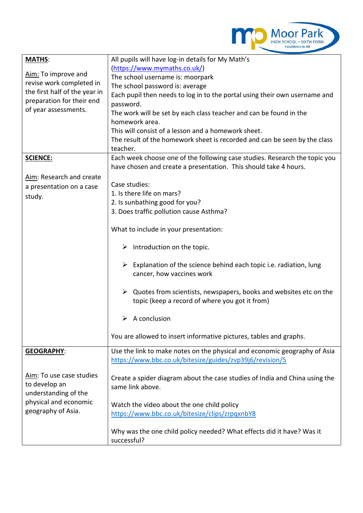

| <b>MATHS:</b>                 | All pupils will have log-in details for My Math's                                                                        |
|-------------------------------|--------------------------------------------------------------------------------------------------------------------------|
|                               | (https://www.mymaths.co.uk/)                                                                                             |
| Aim: To improve and           | The school username is: moorpark                                                                                         |
| revise work completed in      | The school password is: average                                                                                          |
| the first half of the year in | Each pupil then needs to log in to the portal using their own username and                                               |
| preparation for their end     | password.                                                                                                                |
| of year assessments.          | The work will be set by each class teacher and can be found in the                                                       |
|                               | homework area.                                                                                                           |
|                               | This will consist of a lesson and a homework sheet.                                                                      |
|                               | The result of the homework sheet is recorded and can be seen by the class                                                |
|                               | teacher.                                                                                                                 |
| <b>SCIENCE:</b>               | Each week choose one of the following case studies. Research the topic you                                               |
|                               | have chosen and create a presentation. This should take 4 hours.                                                         |
| Aim: Research and create      |                                                                                                                          |
| a presentation on a case      | Case studies:                                                                                                            |
| study.                        | 1. Is there life on mars?                                                                                                |
|                               | 2. Is sunbathing good for you?                                                                                           |
|                               | 3. Does traffic pollution cause Asthma?                                                                                  |
|                               |                                                                                                                          |
|                               | What to include in your presentation:                                                                                    |
|                               | $\triangleright$ Introduction on the topic.                                                                              |
|                               | $\blacktriangleright$<br>Explanation of the science behind each topic i.e. radiation, lung<br>cancer, how vaccines work  |
|                               | ➤<br>Quotes from scientists, newspapers, books and websites etc on the<br>topic (keep a record of where you got it from) |
|                               | A conclusion<br>➤                                                                                                        |
|                               | You are allowed to insert informative pictures, tables and graphs.                                                       |
| <b>GEOGRAPHY:</b>             | Use the link to make notes on the physical and economic geography of Asia                                                |
|                               | https://www.bbc.co.uk/bitesize/guides/zvp39j6/revision/5                                                                 |
|                               |                                                                                                                          |
| Aim: To use case studies      | Create a spider diagram about the case studies of India and China using the                                              |
| to develop an                 | same link above.                                                                                                         |
| understanding of the          |                                                                                                                          |
| physical and economic         | Watch the video about the one child policy                                                                               |
| geography of Asia.            | https://www.bbc.co.uk/bitesize/clips/zrpqxnbY8                                                                           |
|                               |                                                                                                                          |
|                               | Why was the one child policy needed? What effects did it have? Was it<br>successful?                                     |
|                               |                                                                                                                          |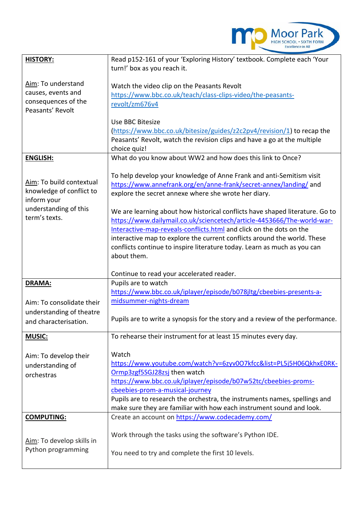

| <b>HISTORY:</b>                         | Read p152-161 of your 'Exploring History' textbook. Complete each 'Your                                                  |
|-----------------------------------------|--------------------------------------------------------------------------------------------------------------------------|
|                                         | turn!' box as you reach it.                                                                                              |
|                                         |                                                                                                                          |
| Aim: To understand                      | Watch the video clip on the Peasants Revolt                                                                              |
| causes, events and                      | https://www.bbc.co.uk/teach/class-clips-video/the-peasants-                                                              |
| consequences of the<br>Peasants' Revolt | revolt/zm676v4                                                                                                           |
|                                         |                                                                                                                          |
|                                         | Use BBC Bitesize                                                                                                         |
|                                         | (https://www.bbc.co.uk/bitesize/guides/z2c2pv4/revision/1) to recap the                                                  |
|                                         | Peasants' Revolt, watch the revision clips and have a go at the multiple                                                 |
| <b>ENGLISH:</b>                         | choice quiz!<br>What do you know about WW2 and how does this link to Once?                                               |
|                                         |                                                                                                                          |
|                                         | To help develop your knowledge of Anne Frank and anti-Semitism visit                                                     |
| Aim: To build contextual                | https://www.annefrank.org/en/anne-frank/secret-annex/landing/ and                                                        |
| knowledge of conflict to                | explore the secret annexe where she wrote her diary.                                                                     |
| inform your                             |                                                                                                                          |
| understanding of this                   | We are learning about how historical conflicts have shaped literature. Go to                                             |
| term's texts.                           | https://www.dailymail.co.uk/sciencetech/article-4453666/The-world-war-                                                   |
|                                         | Interactive-map-reveals-conflicts.html and click on the dots on the                                                      |
|                                         | interactive map to explore the current conflicts around the world. These                                                 |
|                                         | conflicts continue to inspire literature today. Learn as much as you can                                                 |
|                                         | about them.                                                                                                              |
|                                         | Continue to read your accelerated reader.                                                                                |
| DRAMA:                                  | Pupils are to watch                                                                                                      |
|                                         | https://www.bbc.co.uk/iplayer/episode/b078jltg/cbeebies-presents-a-                                                      |
| Aim: To consolidate their               | midsummer-nights-dream                                                                                                   |
| understanding of theatre                |                                                                                                                          |
| and characterisation.                   | Pupils are to write a synopsis for the story and a review of the performance.                                            |
|                                         |                                                                                                                          |
| <b>MUSIC:</b>                           | To rehearse their instrument for at least 15 minutes every day.                                                          |
|                                         |                                                                                                                          |
| Aim: To develop their                   | Watch                                                                                                                    |
| understanding of                        |                                                                                                                          |
|                                         | https://www.youtube.com/watch?v=6zyv0O7kfcc&list=PL5j5H06QkhxE0RK-                                                       |
| orchestras                              | Ormp3zgf5SGJ28zsj then watch                                                                                             |
|                                         | https://www.bbc.co.uk/iplayer/episode/b07w52tc/cbeebies-proms-                                                           |
|                                         | cbeebies-prom-a-musical-journey                                                                                          |
|                                         | Pupils are to research the orchestra, the instruments names, spellings and                                               |
| <b>COMPUTING:</b>                       | make sure they are familiar with how each instrument sound and look.<br>Create an account on https://www.codecademy.com/ |
|                                         |                                                                                                                          |
|                                         | Work through the tasks using the software's Python IDE.                                                                  |
| Aim: To develop skills in               |                                                                                                                          |
| Python programming                      | You need to try and complete the first 10 levels.                                                                        |